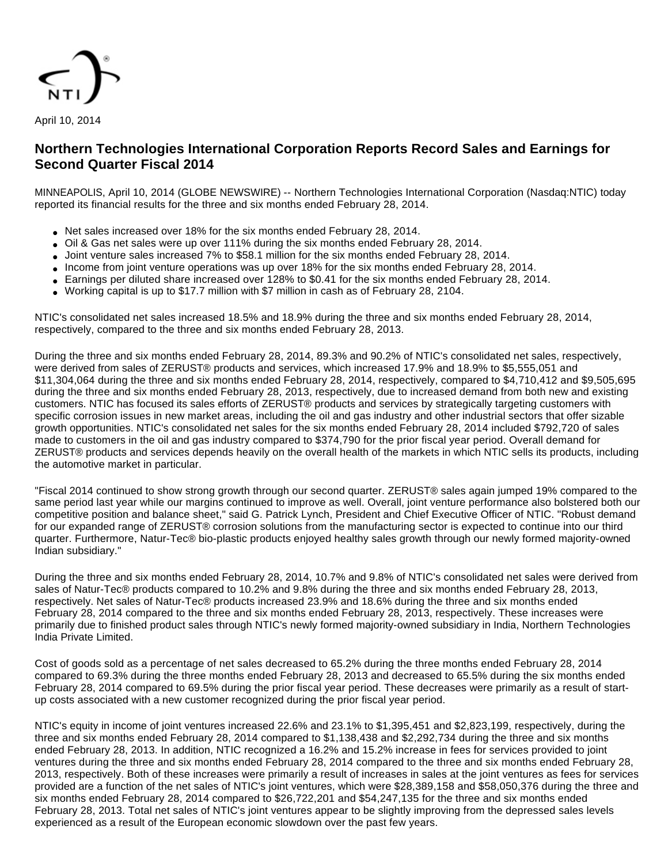

April 10, 2014

# **Northern Technologies International Corporation Reports Record Sales and Earnings for Second Quarter Fiscal 2014**

MINNEAPOLIS, April 10, 2014 (GLOBE NEWSWIRE) -- Northern Technologies International Corporation (Nasdaq:NTIC) today reported its financial results for the three and six months ended February 28, 2014.

- Net sales increased over 18% for the six months ended February 28, 2014.
- Oil & Gas net sales were up over 111% during the six months ended February 28, 2014.
- Joint venture sales increased 7% to \$58.1 million for the six months ended February 28, 2014.
- Income from joint venture operations was up over 18% for the six months ended February 28, 2014.
- Earnings per diluted share increased over 128% to \$0.41 for the six months ended February 28, 2014.
- Working capital is up to \$17.7 million with \$7 million in cash as of February 28, 2104.

NTIC's consolidated net sales increased 18.5% and 18.9% during the three and six months ended February 28, 2014, respectively, compared to the three and six months ended February 28, 2013.

During the three and six months ended February 28, 2014, 89.3% and 90.2% of NTIC's consolidated net sales, respectively, were derived from sales of ZERUST® products and services, which increased 17.9% and 18.9% to \$5,555,051 and \$11,304,064 during the three and six months ended February 28, 2014, respectively, compared to \$4,710,412 and \$9,505,695 during the three and six months ended February 28, 2013, respectively, due to increased demand from both new and existing customers. NTIC has focused its sales efforts of ZERUST® products and services by strategically targeting customers with specific corrosion issues in new market areas, including the oil and gas industry and other industrial sectors that offer sizable growth opportunities. NTIC's consolidated net sales for the six months ended February 28, 2014 included \$792,720 of sales made to customers in the oil and gas industry compared to \$374,790 for the prior fiscal year period. Overall demand for ZERUST® products and services depends heavily on the overall health of the markets in which NTIC sells its products, including the automotive market in particular.

"Fiscal 2014 continued to show strong growth through our second quarter. ZERUST® sales again jumped 19% compared to the same period last year while our margins continued to improve as well. Overall, joint venture performance also bolstered both our competitive position and balance sheet," said G. Patrick Lynch, President and Chief Executive Officer of NTIC. "Robust demand for our expanded range of ZERUST® corrosion solutions from the manufacturing sector is expected to continue into our third quarter. Furthermore, Natur-Tec® bio-plastic products enjoyed healthy sales growth through our newly formed majority-owned Indian subsidiary."

During the three and six months ended February 28, 2014, 10.7% and 9.8% of NTIC's consolidated net sales were derived from sales of Natur-Tec® products compared to 10.2% and 9.8% during the three and six months ended February 28, 2013, respectively. Net sales of Natur-Tec® products increased 23.9% and 18.6% during the three and six months ended February 28, 2014 compared to the three and six months ended February 28, 2013, respectively. These increases were primarily due to finished product sales through NTIC's newly formed majority-owned subsidiary in India, Northern Technologies India Private Limited.

Cost of goods sold as a percentage of net sales decreased to 65.2% during the three months ended February 28, 2014 compared to 69.3% during the three months ended February 28, 2013 and decreased to 65.5% during the six months ended February 28, 2014 compared to 69.5% during the prior fiscal year period. These decreases were primarily as a result of startup costs associated with a new customer recognized during the prior fiscal year period.

NTIC's equity in income of joint ventures increased 22.6% and 23.1% to \$1,395,451 and \$2,823,199, respectively, during the three and six months ended February 28, 2014 compared to \$1,138,438 and \$2,292,734 during the three and six months ended February 28, 2013. In addition, NTIC recognized a 16.2% and 15.2% increase in fees for services provided to joint ventures during the three and six months ended February 28, 2014 compared to the three and six months ended February 28, 2013, respectively. Both of these increases were primarily a result of increases in sales at the joint ventures as fees for services provided are a function of the net sales of NTIC's joint ventures, which were \$28,389,158 and \$58,050,376 during the three and six months ended February 28, 2014 compared to \$26,722,201 and \$54,247,135 for the three and six months ended February 28, 2013. Total net sales of NTIC's joint ventures appear to be slightly improving from the depressed sales levels experienced as a result of the European economic slowdown over the past few years.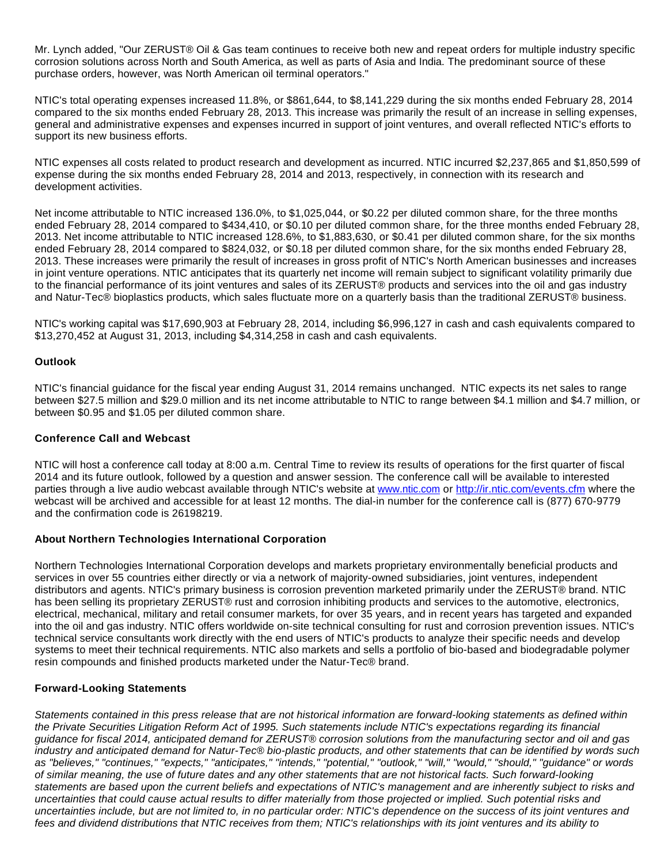Mr. Lynch added, "Our ZERUST® Oil & Gas team continues to receive both new and repeat orders for multiple industry specific corrosion solutions across North and South America, as well as parts of Asia and India. The predominant source of these purchase orders, however, was North American oil terminal operators."

NTIC's total operating expenses increased 11.8%, or \$861,644, to \$8,141,229 during the six months ended February 28, 2014 compared to the six months ended February 28, 2013. This increase was primarily the result of an increase in selling expenses, general and administrative expenses and expenses incurred in support of joint ventures, and overall reflected NTIC's efforts to support its new business efforts.

NTIC expenses all costs related to product research and development as incurred. NTIC incurred \$2,237,865 and \$1,850,599 of expense during the six months ended February 28, 2014 and 2013, respectively, in connection with its research and development activities.

Net income attributable to NTIC increased 136.0%, to \$1,025,044, or \$0.22 per diluted common share, for the three months ended February 28, 2014 compared to \$434,410, or \$0.10 per diluted common share, for the three months ended February 28, 2013. Net income attributable to NTIC increased 128.6%, to \$1,883,630, or \$0.41 per diluted common share, for the six months ended February 28, 2014 compared to \$824,032, or \$0.18 per diluted common share, for the six months ended February 28, 2013. These increases were primarily the result of increases in gross profit of NTIC's North American businesses and increases in joint venture operations. NTIC anticipates that its quarterly net income will remain subject to significant volatility primarily due to the financial performance of its joint ventures and sales of its ZERUST® products and services into the oil and gas industry and Natur-Tec® bioplastics products, which sales fluctuate more on a quarterly basis than the traditional ZERUST® business.

NTIC's working capital was \$17,690,903 at February 28, 2014, including \$6,996,127 in cash and cash equivalents compared to \$13,270,452 at August 31, 2013, including \$4,314,258 in cash and cash equivalents.

## **Outlook**

NTIC's financial guidance for the fiscal year ending August 31, 2014 remains unchanged. NTIC expects its net sales to range between \$27.5 million and \$29.0 million and its net income attributable to NTIC to range between \$4.1 million and \$4.7 million, or between \$0.95 and \$1.05 per diluted common share.

## **Conference Call and Webcast**

NTIC will host a conference call today at 8:00 a.m. Central Time to review its results of operations for the first quarter of fiscal 2014 and its future outlook, followed by a question and answer session. The conference call will be available to interested parties through a live audio webcast available through NTIC's website at [www.ntic.com](http://www.globenewswire.com/newsroom/ctr?d=10075961&l=16&a=www.ntic.com&u=http%3A%2F%2Fwww.ntic.com) or [http://ir.ntic.com/events.cfm](http://www.globenewswire.com/newsroom/ctr?d=10075961&l=16&u=http%3A%2F%2Fir.ntic.com%2Fevents.cfm) where the webcast will be archived and accessible for at least 12 months. The dial-in number for the conference call is (877) 670-9779 and the confirmation code is 26198219.

## **About Northern Technologies International Corporation**

Northern Technologies International Corporation develops and markets proprietary environmentally beneficial products and services in over 55 countries either directly or via a network of majority-owned subsidiaries, joint ventures, independent distributors and agents. NTIC's primary business is corrosion prevention marketed primarily under the ZERUST® brand. NTIC has been selling its proprietary ZERUST® rust and corrosion inhibiting products and services to the automotive, electronics, electrical, mechanical, military and retail consumer markets, for over 35 years, and in recent years has targeted and expanded into the oil and gas industry. NTIC offers worldwide on-site technical consulting for rust and corrosion prevention issues. NTIC's technical service consultants work directly with the end users of NTIC's products to analyze their specific needs and develop systems to meet their technical requirements. NTIC also markets and sells a portfolio of bio-based and biodegradable polymer resin compounds and finished products marketed under the Natur-Tec® brand.

## **Forward-Looking Statements**

Statements contained in this press release that are not historical information are forward-looking statements as defined within the Private Securities Litigation Reform Act of 1995. Such statements include NTIC's expectations regarding its financial guidance for fiscal 2014, anticipated demand for ZERUST® corrosion solutions from the manufacturing sector and oil and gas industry and anticipated demand for Natur-Tec® bio-plastic products, and other statements that can be identified by words such as "believes," "continues," "expects," "anticipates," "intends," "potential," "outlook," "will," "would," "should," "guidance" or words of similar meaning, the use of future dates and any other statements that are not historical facts. Such forward-looking statements are based upon the current beliefs and expectations of NTIC's management and are inherently subject to risks and uncertainties that could cause actual results to differ materially from those projected or implied. Such potential risks and uncertainties include, but are not limited to, in no particular order: NTIC's dependence on the success of its joint ventures and fees and dividend distributions that NTIC receives from them; NTIC's relationships with its joint ventures and its ability to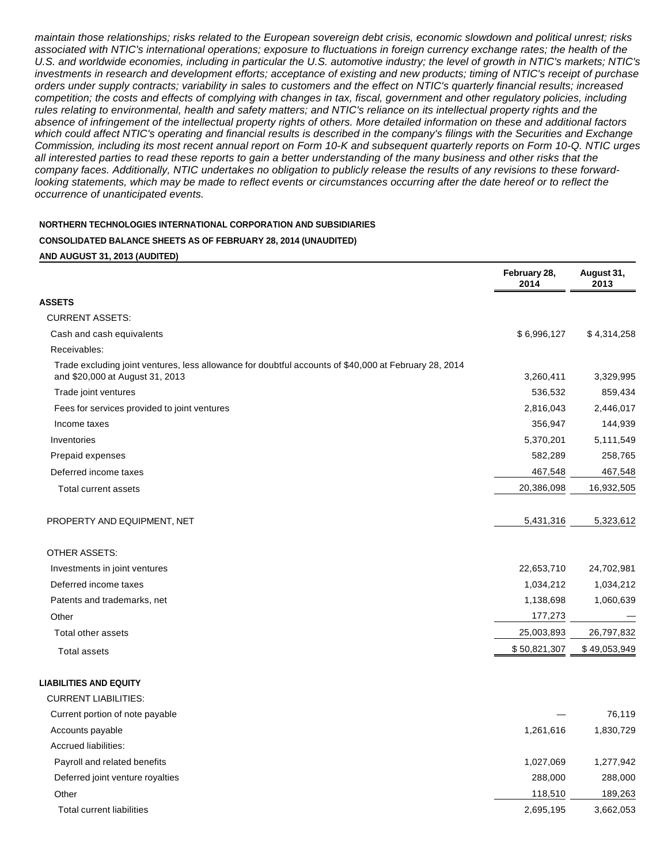maintain those relationships; risks related to the European sovereign debt crisis, economic slowdown and political unrest; risks associated with NTIC's international operations; exposure to fluctuations in foreign currency exchange rates; the health of the U.S. and worldwide economies, including in particular the U.S. automotive industry; the level of growth in NTIC's markets; NTIC's investments in research and development efforts; acceptance of existing and new products; timing of NTIC's receipt of purchase orders under supply contracts; variability in sales to customers and the effect on NTIC's quarterly financial results; increased competition; the costs and effects of complying with changes in tax, fiscal, government and other regulatory policies, including rules relating to environmental, health and safety matters; and NTIC's reliance on its intellectual property rights and the absence of infringement of the intellectual property rights of others. More detailed information on these and additional factors which could affect NTIC's operating and financial results is described in the company's filings with the Securities and Exchange Commission, including its most recent annual report on Form 10-K and subsequent quarterly reports on Form 10-Q. NTIC urges all interested parties to read these reports to gain a better understanding of the many business and other risks that the company faces. Additionally, NTIC undertakes no obligation to publicly release the results of any revisions to these forwardlooking statements, which may be made to reflect events or circumstances occurring after the date hereof or to reflect the occurrence of unanticipated events.

#### **NORTHERN TECHNOLOGIES INTERNATIONAL CORPORATION AND SUBSIDIARIES**

#### **CONSOLIDATED BALANCE SHEETS AS OF FEBRUARY 28, 2014 (UNAUDITED)**

#### **AND AUGUST 31, 2013 (AUDITED)**

|                                                                                                                                          | February 28,<br>2014 | August 31,<br>2013 |
|------------------------------------------------------------------------------------------------------------------------------------------|----------------------|--------------------|
| <b>ASSETS</b>                                                                                                                            |                      |                    |
| <b>CURRENT ASSETS:</b>                                                                                                                   |                      |                    |
| Cash and cash equivalents                                                                                                                | \$6,996,127          | \$4,314,258        |
| Receivables:                                                                                                                             |                      |                    |
| Trade excluding joint ventures, less allowance for doubtful accounts of \$40,000 at February 28, 2014<br>and \$20,000 at August 31, 2013 | 3,260,411            | 3,329,995          |
| Trade joint ventures                                                                                                                     | 536,532              | 859,434            |
| Fees for services provided to joint ventures                                                                                             | 2,816,043            | 2,446,017          |
| Income taxes                                                                                                                             | 356,947              | 144,939            |
| Inventories                                                                                                                              | 5,370,201            | 5,111,549          |
| Prepaid expenses                                                                                                                         | 582,289              | 258,765            |
| Deferred income taxes                                                                                                                    | 467,548              | 467,548            |
| Total current assets                                                                                                                     | 20,386,098           | 16,932,505         |
| PROPERTY AND EQUIPMENT, NET                                                                                                              | 5,431,316            | 5,323,612          |
| OTHER ASSETS:                                                                                                                            |                      |                    |
| Investments in joint ventures                                                                                                            | 22,653,710           | 24,702,981         |
| Deferred income taxes                                                                                                                    | 1,034,212            | 1,034,212          |
| Patents and trademarks, net                                                                                                              | 1,138,698            | 1,060,639          |
| Other                                                                                                                                    | 177,273              |                    |
| Total other assets                                                                                                                       | 25,003,893           | 26,797,832         |
| <b>Total assets</b>                                                                                                                      | \$50,821,307         | \$49,053,949       |
| <b>LIABILITIES AND EQUITY</b>                                                                                                            |                      |                    |
| <b>CURRENT LIABILITIES:</b>                                                                                                              |                      |                    |
| Current portion of note payable                                                                                                          |                      | 76,119             |
| Accounts payable                                                                                                                         | 1,261,616            | 1,830,729          |
| <b>Accrued liabilities:</b>                                                                                                              |                      |                    |
| Payroll and related benefits                                                                                                             | 1,027,069            | 1,277,942          |
| Deferred joint venture royalties                                                                                                         | 288,000              | 288,000            |
| Other                                                                                                                                    | 118,510              | 189,263            |
| <b>Total current liabilities</b>                                                                                                         | 2,695,195            | 3,662,053          |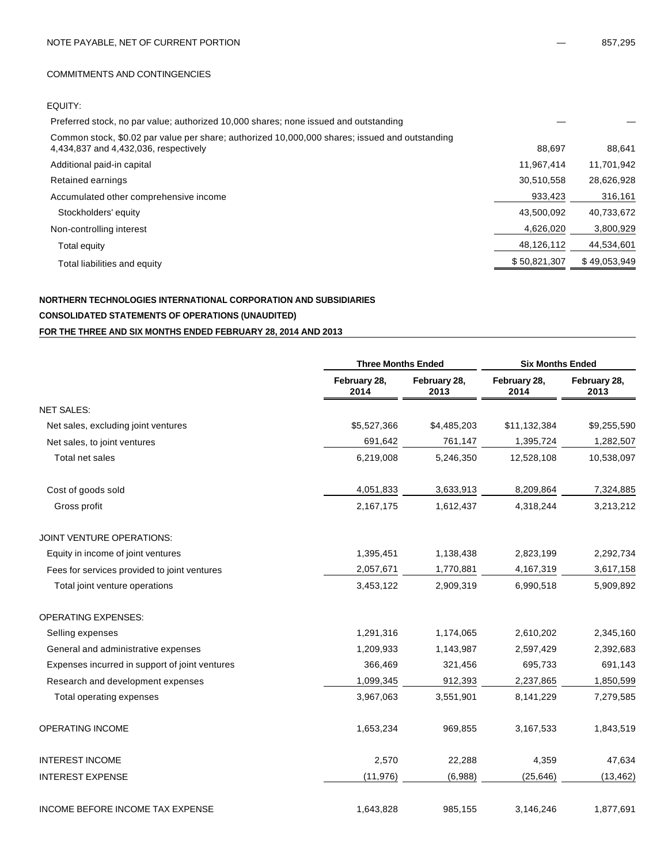#### COMMITMENTS AND CONTINGENCIES

## EQUITY:

| Preferred stock, no par value; authorized 10,000 shares; none issued and outstanding                                                    |              |              |
|-----------------------------------------------------------------------------------------------------------------------------------------|--------------|--------------|
| Common stock, \$0.02 par value per share; authorized 10,000,000 shares; issued and outstanding<br>4,434,837 and 4,432,036, respectively | 88.697       | 88,641       |
| Additional paid-in capital                                                                                                              | 11,967,414   | 11,701,942   |
| Retained earnings                                                                                                                       | 30,510,558   | 28,626,928   |
| Accumulated other comprehensive income                                                                                                  | 933,423      | 316,161      |
| Stockholders' equity                                                                                                                    | 43,500,092   | 40,733,672   |
| Non-controlling interest                                                                                                                | 4,626,020    | 3,800,929    |
| Total equity                                                                                                                            | 48,126,112   | 44,534,601   |
| Total liabilities and equity                                                                                                            | \$50,821,307 | \$49,053,949 |

## **NORTHERN TECHNOLOGIES INTERNATIONAL CORPORATION AND SUBSIDIARIES CONSOLIDATED STATEMENTS OF OPERATIONS (UNAUDITED) FOR THE THREE AND SIX MONTHS ENDED FEBRUARY 28, 2014 AND 2013**

|                                                | <b>Three Months Ended</b> |                      | <b>Six Months Ended</b> |                      |
|------------------------------------------------|---------------------------|----------------------|-------------------------|----------------------|
|                                                | February 28,<br>2014      | February 28,<br>2013 | February 28,<br>2014    | February 28,<br>2013 |
| <b>NET SALES:</b>                              |                           |                      |                         |                      |
| Net sales, excluding joint ventures            | \$5,527,366               | \$4,485,203          | \$11,132,384            | \$9,255,590          |
| Net sales, to joint ventures                   | 691,642                   | 761,147              | 1,395,724               | 1,282,507            |
| Total net sales                                | 6,219,008                 | 5,246,350            | 12,528,108              | 10,538,097           |
| Cost of goods sold                             | 4,051,833                 | 3,633,913            | 8,209,864               | 7,324,885            |
| Gross profit                                   | 2,167,175                 | 1,612,437            | 4,318,244               | 3,213,212            |
| JOINT VENTURE OPERATIONS:                      |                           |                      |                         |                      |
| Equity in income of joint ventures             | 1,395,451                 | 1,138,438            | 2,823,199               | 2,292,734            |
| Fees for services provided to joint ventures   | 2,057,671                 | 1,770,881            | 4,167,319               | 3,617,158            |
| Total joint venture operations                 | 3,453,122                 | 2,909,319            | 6,990,518               | 5,909,892            |
| <b>OPERATING EXPENSES:</b>                     |                           |                      |                         |                      |
| Selling expenses                               | 1,291,316                 | 1,174,065            | 2,610,202               | 2,345,160            |
| General and administrative expenses            | 1,209,933                 | 1,143,987            | 2,597,429               | 2,392,683            |
| Expenses incurred in support of joint ventures | 366,469                   | 321,456              | 695,733                 | 691,143              |
| Research and development expenses              | 1,099,345                 | 912,393              | 2,237,865               | 1,850,599            |
| Total operating expenses                       | 3,967,063                 | 3,551,901            | 8,141,229               | 7,279,585            |
| OPERATING INCOME                               | 1,653,234                 | 969,855              | 3,167,533               | 1,843,519            |
| <b>INTEREST INCOME</b>                         | 2,570                     | 22,288               | 4,359                   | 47,634               |
| <b>INTEREST EXPENSE</b>                        | (11, 976)                 | (6,988)              | (25, 646)               | (13, 462)            |
| INCOME BEFORE INCOME TAX EXPENSE               | 1,643,828                 | 985,155              | 3,146,246               | 1,877,691            |